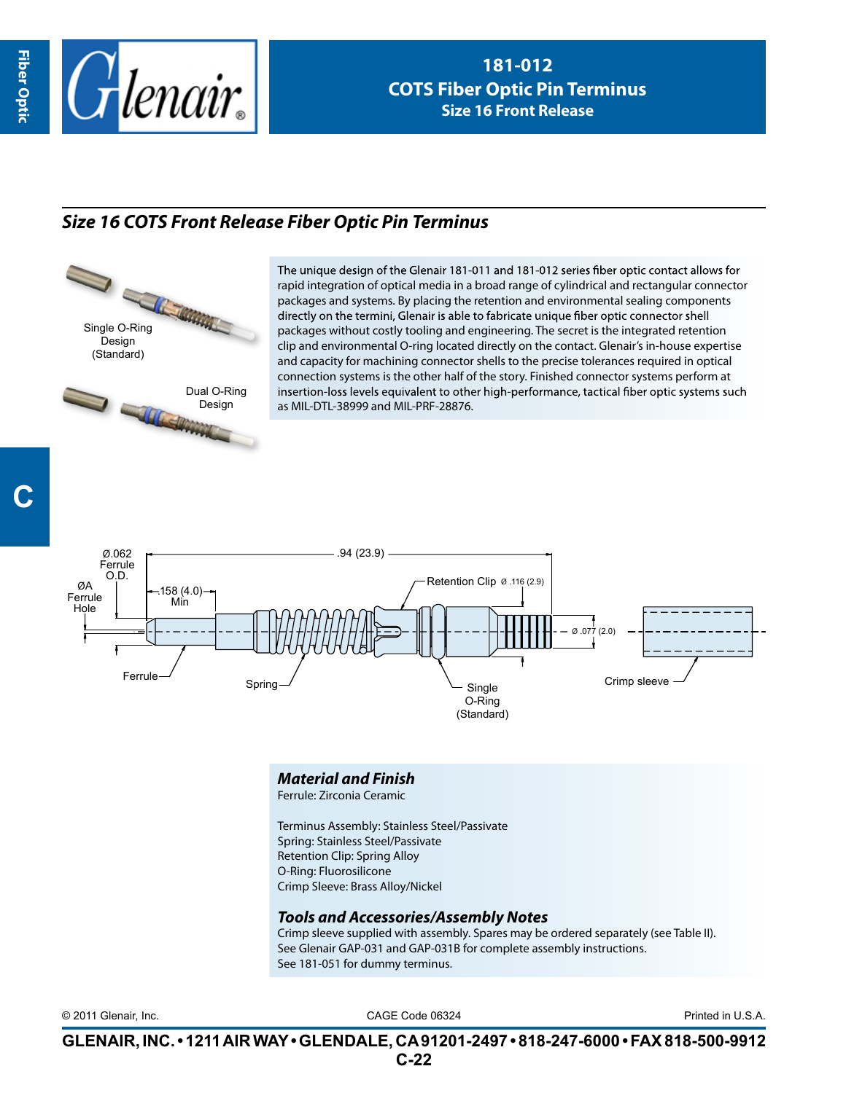

## *Size 16 COTS Front Release Fiber Optic Pin Terminus*

Single O-Ring Design (Standard)



The unique design of the Glenair 181-011 and 181-012 series fiber optic contact allows for rapid integration of optical media in a broad range of cylindrical and rectangular connector packages and systems. By placing the retention and environmental sealing components directly on the termini, Glenair is able to fabricate unique fiber optic connector shell packages without costly tooling and engineering. The secret is the integrated retention clip and environmental O-ring located directly on the contact. Glenair's in-house expertise and capacity for machining connector shells to the precise tolerances required in optical connection systems is the other half of the story. Finished connector systems perform at insertion-loss levels equivalent to other high-performance, tactical fiber optic systems such as MIL-DTL-38999 and MIL-PRF-28876.



## *Material and Finish*

Ferrule: Zirconia Ceramic

Terminus Assembly: Stainless Steel/Passivate Spring: Stainless Steel/Passivate Retention Clip: Spring Alloy O-Ring: Fluorosilicone Crimp Sleeve: Brass Alloy/Nickel

## *Tools and Accessories/Assembly Notes*

Crimp sleeve supplied with assembly. Spares may be ordered separately (see Table II). See Glenair GAP-031 and GAP-031B for complete assembly instructions. See 181-051 for dummy terminus.

CAGE Code 06324 © 2011 Glenair, Inc. Printed in U.S.A.